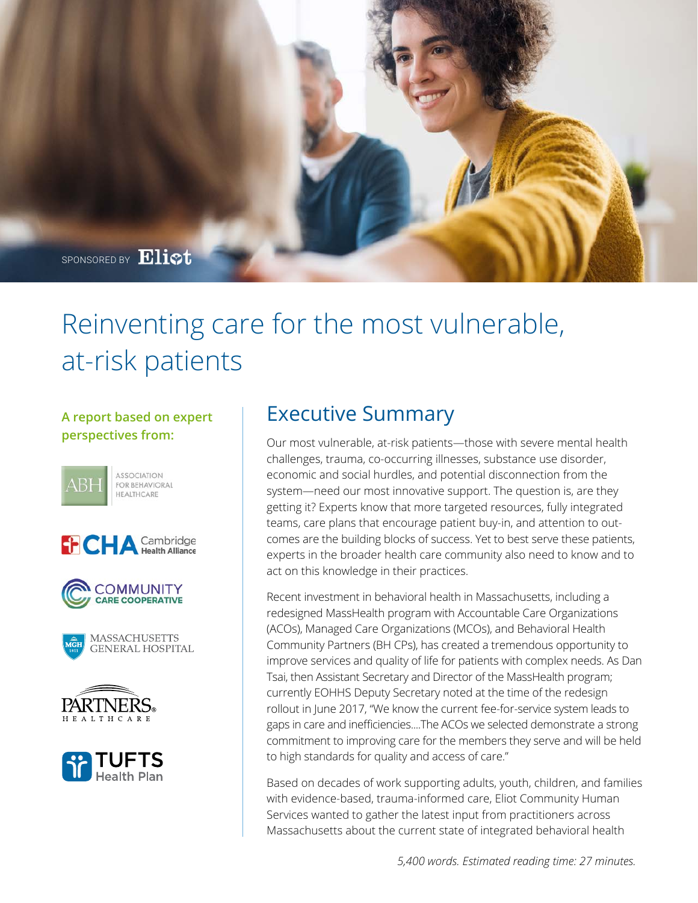

# Reinventing care for the most vulnerable, at-risk patients

# **A report based on expert perspectives from:**













# Executive Summary

Our most vulnerable, at-risk patients—those with severe mental health challenges, trauma, co-occurring illnesses, substance use disorder, economic and social hurdles, and potential disconnection from the system—need our most innovative support. The question is, are they getting it? Experts know that more targeted resources, fully integrated teams, care plans that encourage patient buy-in, and attention to outcomes are the building blocks of success. Yet to best serve these patients, experts in the broader health care community also need to know and to act on this knowledge in their practices.

Recent investment in behavioral health in Massachusetts, including a redesigned MassHealth program with Accountable Care Organizations (ACOs), Managed Care Organizations (MCOs), and Behavioral Health Community Partners (BH CPs), has created a tremendous opportunity to improve services and quality of life for patients with complex needs. As Dan Tsai, then Assistant Secretary and Director of the MassHealth program; currently EOHHS Deputy Secretary noted at the time of the redesign rollout in June 2017, "We know the current fee-for-service system leads to gaps in care and inefficiencies....The ACOs we selected demonstrate a strong commitment to improving care for the members they serve and will be held to high standards for quality and access of care."

Based on decades of work supporting adults, youth, children, and families with evidence-based, trauma-informed care, Eliot Community Human Services wanted to gather the latest input from practitioners across Massachusetts about the current state of integrated behavioral health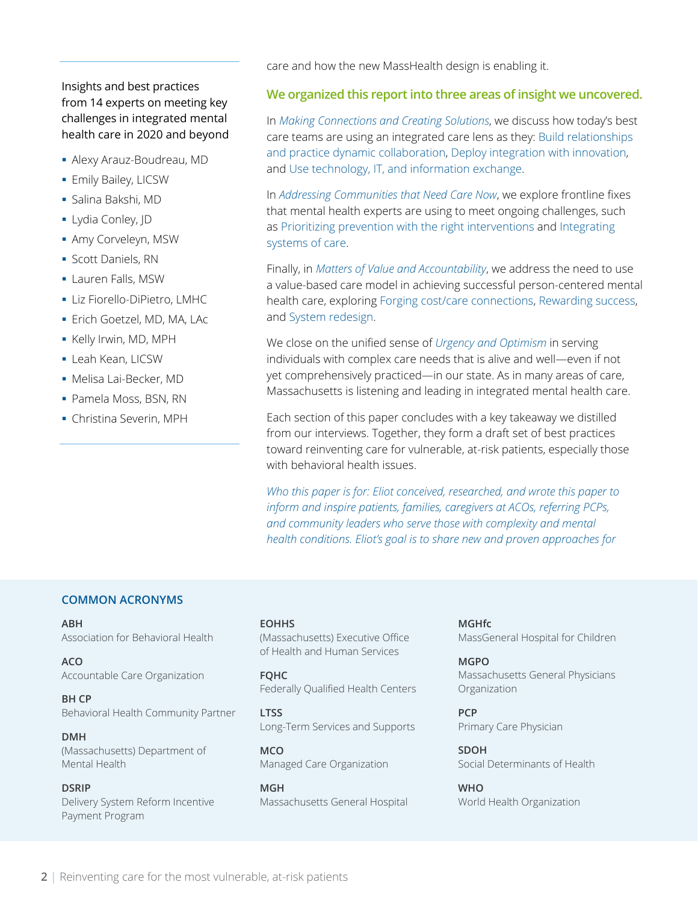# Insights and best practices from 14 experts on meeting key challenges in integrated mental health care in 2020 and beyond

- § Alexy Arauz-Boudreau, MD
- § Emily Bailey, LICSW
- § Salina Bakshi, MD
- § Lydia Conley, JD
- § Amy Corveleyn, MSW
- § Scott Daniels, RN
- § Lauren Falls, MSW
- § Liz Fiorello-DiPietro, LMHC
- § Erich Goetzel, MD, MA, LAc
- § Kelly Irwin, MD, MPH
- § Leah Kean, LICSW
- § Melisa Lai-Becker, MD
- § Pamela Moss, BSN, RN
- § Christina Severin, MPH

care and how the new MassHealth design is enabling it.

#### **We organized this report into three areas of insight we uncovered.**

In *[Making Connections and Creating Solutions](#page-2-0)*, we discuss how today's best care teams are using an integrated care lens as they: [Build relationships](#page-2-0)  [and practice dynamic collaboration,](#page-2-0) [Deploy integration with innovation,](#page-4-0)  and [Use technology, IT, and information exchange.](#page-5-0)

In *[Addressing Communities that Need Care Now](#page-6-0)*, we explore frontline fixes that mental health experts are using to meet ongoing challenges, such as [Prioritizing prevention with the right interventions a](#page-6-0)nd [Integrating](#page-7-0)  [systems of care.](#page-7-0) 

Finally, in *[Matters of Value and Accountability](#page-9-0)*, we address the need to use a value-based care model in achieving successful person-centered mental health care, exploring [Forging cost/care connections, Rewarding success,](#page-9-0)  and [System redesign.](#page-10-0) 

We close on the unified sense of *[Urgency and Optimism](#page-12-0)* in serving individuals with complex care needs that is alive and well—even if not yet comprehensively practiced—in our state. As in many areas of care, Massachusetts is listening and leading in integrated mental health care.

Each section of this paper concludes with a key takeaway we distilled from our interviews. Together, they form a draft set of best practices toward reinventing care for vulnerable, at-risk patients, especially those with behavioral health issues.

*Who this paper is for: Eliot conceived, researched, and wrote this paper to inform and inspire patients, families, caregivers at ACOs, referring PCPs, and community leaders who serve those with complexity and mental health conditions. Eliot's goal is to share new and proven approaches for* 

#### **COMMON ACRONYMS**

**ABH**  Association for Behavioral Health

**ACO**  Accountable Care Organization

**BH CP**  Behavioral Health Community Partner

**DMH** (Massachusetts) Department of Mental Health

#### **DSRIP**

Delivery System Reform Incentive Payment Program

#### **EOHHS**

(Massachusetts) Executive Office of Health and Human Services

**FQHC** Federally Qualified Health Centers

**LTSS** Long-Term Services and Supports

**MCO** Managed Care Organization

**MGH** Massachusetts General Hospital

**MGHfc** MassGeneral Hospital for Children

**MGPO** Massachusetts General Physicians Organization

**PCP** Primary Care Physician

**SDOH** Social Determinants of Health

**WHO** World Health Organization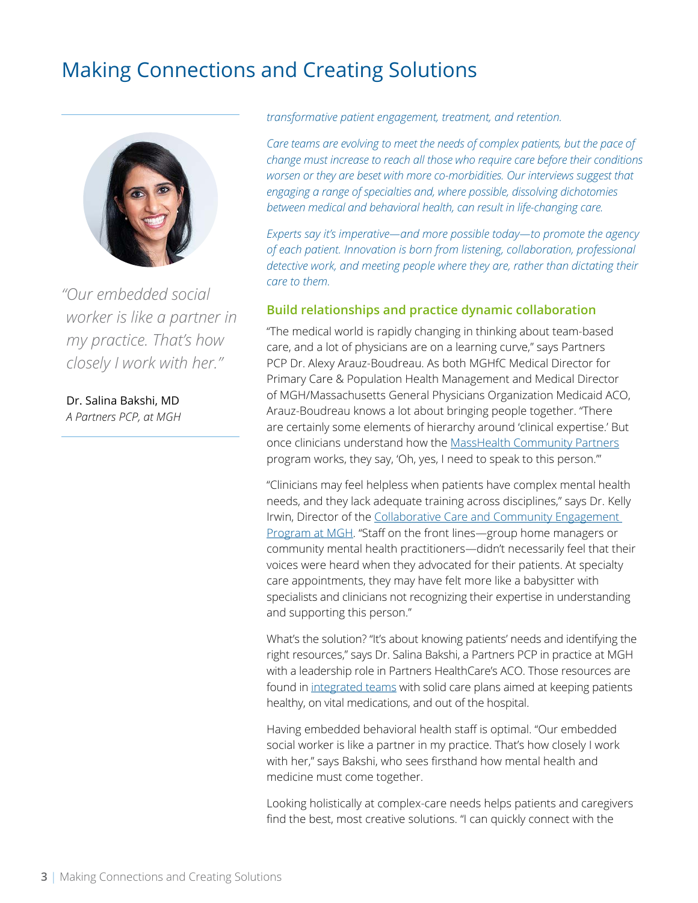# <span id="page-2-0"></span>Making Connections and Creating Solutions



*"Our embedded social worker is like a partner in my practice. That's how closely I work with her."*

Dr. Salina Bakshi, MD *A Partners PCP, at MGH* *transformative patient engagement, treatment, and retention.*

*Care teams are evolving to meet the needs of complex patients, but the pace of change must increase to reach all those who require care before their conditions worsen or they are beset with more co-morbidities. Our interviews suggest that engaging a range of specialties and, where possible, dissolving dichotomies between medical and behavioral health, can result in life-changing care.* 

*Experts say it's imperative—and more possible today—to promote the agency of each patient. Innovation is born from listening, collaboration, professional detective work, and meeting people where they are, rather than dictating their care to them.*

### **Build relationships and practice dynamic collaboration**

"The medical world is rapidly changing in thinking about team-based care, and a lot of physicians are on a learning curve," says Partners PCP Dr. Alexy Arauz-Boudreau. As both MGHfC Medical Director for Primary Care & Population Health Management and Medical Director of MGH/Massachusetts General Physicians Organization Medicaid ACO, Arauz-Boudreau knows a lot about bringing people together. "There are certainly some elements of hierarchy around 'clinical expertise.' But once clinicians understand how the [MassHealth Community Partners](https://www.mass.gov/guides/masshealth-community-partners-cp-program-information-for-providers) program works, they say, 'Oh, yes, I need to speak to this person.'"

"Clinicians may feel helpless when patients have complex mental health needs, and they lack adequate training across disciplines," says Dr. Kelly Irwin, Director of th[e Collaborative Care and Community Engagement](https://www.massgeneral.org/cancer-center/patient-and-family-resources/supportive-care/collaborative-care-and-community-engagement)  [Program at MGH](https://www.massgeneral.org/cancer-center/patient-and-family-resources/supportive-care/collaborative-care-and-community-engagement). "Staff on the front lines—group home managers or community mental health practitioners—didn't necessarily feel that their voices were heard when they advocated for their patients. At specialty care appointments, they may have felt more like a babysitter with specialists and clinicians not recognizing their expertise in understanding and supporting this person."

What's the solution? "It's about knowing patients' needs and identifying the right resources," says Dr. Salina Bakshi, a Partners PCP in practice at MGH with a leadership role in Partners HealthCare's ACO. Those resources are found in integrated teams with solid care plans aimed at keeping patients healthy, on vital medications, and out of the hospital.

Having embedded behavioral health staff is optimal. "Our embedded social worker is like a partner in my practice. That's how closely I work with her," says Bakshi, who sees firsthand how mental health and medicine must come together.

Looking holistically at complex-care needs helps patients and caregivers find the best, most creative solutions. "I can quickly connect with the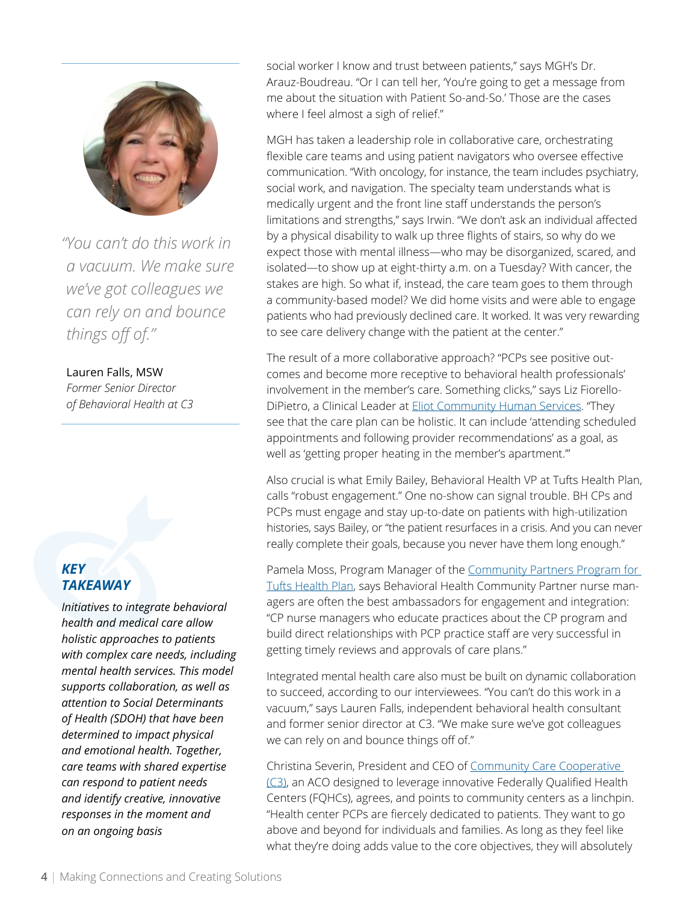

*"You can't do this work in a vacuum. We make sure we've got colleagues we can rely on and bounce things off of."*

### Lauren Falls, MSW

*Former Senior Director of Behavioral Health at C3*

# *KEY TAKEAWAY*

*Initiatives to integrate behavioral health and medical care allow holistic approaches to patients with complex care needs, including mental health services. This model supports collaboration, as well as attention to Social Determinants of Health (SDOH) that have been determined to impact physical and emotional health. Together, care teams with shared expertise can respond to patient needs and identify creative, innovative responses in the moment and on an ongoing basis* 

social worker I know and trust between patients," says MGH's Dr. Arauz-Boudreau. "Or I can tell her, 'You're going to get a message from me about the situation with Patient So-and-So.' Those are the cases where I feel almost a sigh of relief."

MGH has taken a leadership role in collaborative care, orchestrating flexible care teams and using patient navigators who oversee effective communication. "With oncology, for instance, the team includes psychiatry, social work, and navigation. The specialty team understands what is medically urgent and the front line staff understands the person's limitations and strengths," says Irwin. "We don't ask an individual affected by a physical disability to walk up three flights of stairs, so why do we expect those with mental illness—who may be disorganized, scared, and isolated—to show up at eight-thirty a.m. on a Tuesday? With cancer, the stakes are high. So what if, instead, the care team goes to them through a community-based model? We did home visits and were able to engage patients who had previously declined care. It worked. It was very rewarding to see care delivery change with the patient at the center."

The result of a more collaborative approach? "PCPs see positive outcomes and become more receptive to behavioral health professionals' involvement in the member's care. Something clicks," says Liz Fiorello-DiPietro, a Clinical Leader at **Eliot Community Human Services**. "They see that the care plan can be holistic. It can include 'attending scheduled appointments and following provider recommendations' as a goal, as well as 'getting proper heating in the member's apartment.'"

Also crucial is what Emily Bailey, Behavioral Health VP at Tufts Health Plan, calls "robust engagement." One no-show can signal trouble. BH CPs and PCPs must engage and stay up-to-date on patients with high-utilization histories, says Bailey, or "the patient resurfaces in a crisis. And you can never really complete their goals, because you never have them long enough."

Pamela Moss, Program Manager of the Community Partners Program for [Tufts Health Plan](https://tuftshealthplan.com/provider-new/our-plans/tufts-health-public-plans/community-partners-program), says Behavioral Health Community Partner nurse managers are often the best ambassadors for engagement and integration: "CP nurse managers who educate practices about the CP program and build direct relationships with PCP practice staff are very successful in getting timely reviews and approvals of care plans."

Integrated mental health care also must be built on dynamic collaboration to succeed, according to our interviewees. "You can't do this work in a vacuum," says Lauren Falls, independent behavioral health consultant and former senior director at C3. "We make sure we've got colleagues we can rely on and bounce things off of."

Christina Severin, President and CEO of [Community Care Cooperative](https://www.communitycarecooperative.org/)  [\(C3\)](https://www.communitycarecooperative.org/), an ACO designed to leverage innovative Federally Qualified Health Centers (FQHCs), agrees, and points to community centers as a linchpin. "Health center PCPs are fiercely dedicated to patients. They want to go above and beyond for individuals and families. As long as they feel like what they're doing adds value to the core objectives, they will absolutely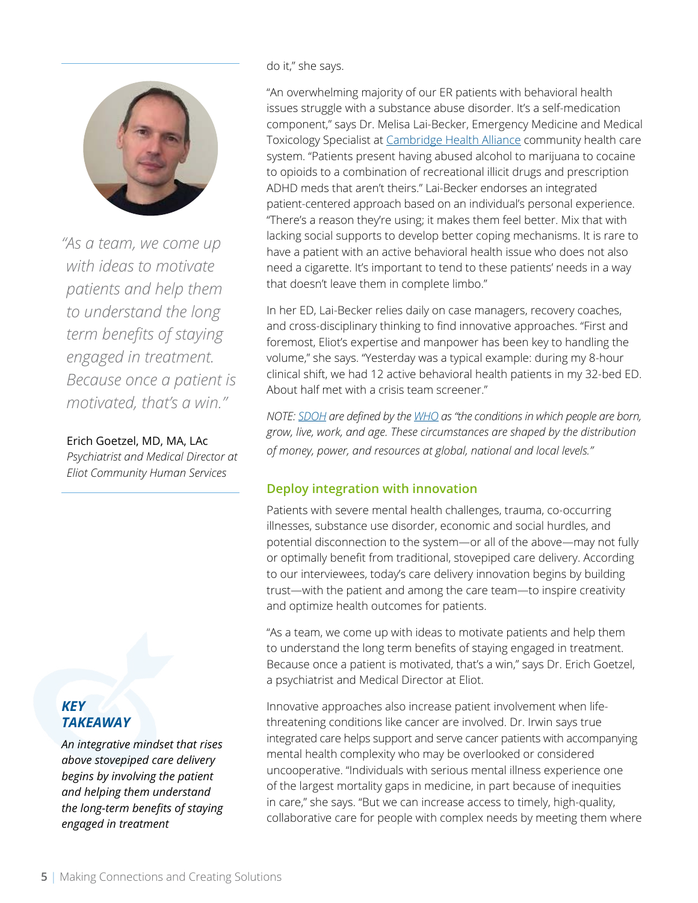<span id="page-4-0"></span>

*"As a team, we come up with ideas to motivate patients and help them to understand the long term benefits of staying engaged in treatment. Because once a patient is motivated, that's a win."*

#### Erich Goetzel, MD, MA, LAc

*Psychiatrist and Medical Director at Eliot Community Human Services*

# *KEY TAKEAWAY*

*An integrative mindset that rises above stovepiped care delivery begins by involving the patient and helping them understand the long-term benefits of staying engaged in treatment*

do it," she says.

"An overwhelming majority of our ER patients with behavioral health issues struggle with a substance abuse disorder. It's a self-medication component," says Dr. Melisa Lai-Becker, Emergency Medicine and Medical Toxicology Specialist at [Cambridge Health Alliance c](https://www.challiance.org/)ommunity health care system. "Patients present having abused alcohol to marijuana to cocaine to opioids to a combination of recreational illicit drugs and prescription ADHD meds that aren't theirs." Lai-Becker endorses an integrated patient-centered approach based on an individual's personal experience. "There's a reason they're using; it makes them feel better. Mix that with lacking social supports to develop better coping mechanisms. It is rare to have a patient with an active behavioral health issue who does not also need a cigarette. It's important to tend to these patients' needs in a way that doesn't leave them in complete limbo."

In her ED, Lai-Becker relies daily on case managers, recovery coaches, and cross-disciplinary thinking to find innovative approaches. "First and foremost, Eliot's expertise and manpower has been key to handling the volume," she says. "Yesterday was a typical example: during my 8-hour clinical shift, we had 12 active behavioral health patients in my 32-bed ED. About half met with a crisis team screener."

*NOTE: [SDOH](https://www.who.int/social_determinants/en/) are defined by the [WHO](https://www.who.int/) as "the conditions in which people are born, grow, live, work, and age. These circumstances are shaped by the distribution of money, power, and resources at global, national and local levels."*

# **Deploy integration with innovation**

Patients with severe mental health challenges, trauma, co-occurring illnesses, substance use disorder, economic and social hurdles, and potential disconnection to the system—or all of the above—may not fully or optimally benefit from traditional, stovepiped care delivery. According to our interviewees, today's care delivery innovation begins by building trust—with the patient and among the care team—to inspire creativity and optimize health outcomes for patients.

"As a team, we come up with ideas to motivate patients and help them to understand the long term benefits of staying engaged in treatment. Because once a patient is motivated, that's a win," says Dr. Erich Goetzel, a psychiatrist and Medical Director at Eliot.

Innovative approaches also increase patient involvement when lifethreatening conditions like cancer are involved. Dr. Irwin says true integrated care helps support and serve cancer patients with accompanying mental health complexity who may be overlooked or considered uncooperative. "Individuals with serious mental illness experience one of the largest mortality gaps in medicine, in part because of inequities in care," she says. "But we can increase access to timely, high-quality, collaborative care for people with complex needs by meeting them where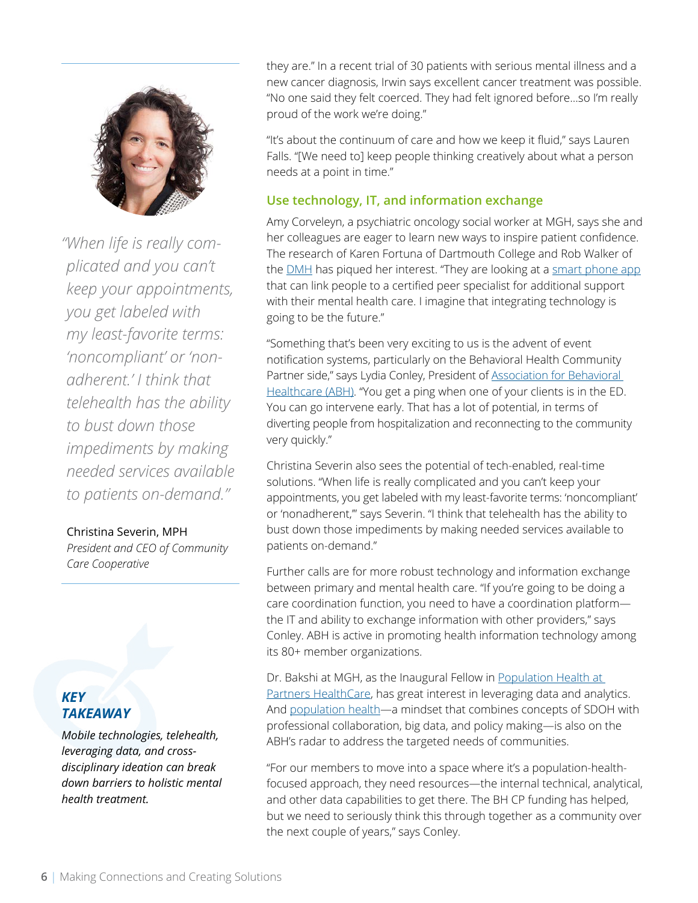<span id="page-5-0"></span>

*"When life is really complicated and you can't keep your appointments, you get labeled with my least-favorite terms: 'noncompliant' or 'nonadherent.' I think that telehealth has the ability to bust down those impediments by making needed services available to patients on-demand."*

#### Christina Severin, MPH

*President and CEO of Community Care Cooperative*

# *KEY TAKEAWAY*

*Mobile technologies, telehealth, leveraging data, and crossdisciplinary ideation can break down barriers to holistic mental health treatment.* 

they are." In a recent trial of 30 patients with serious mental illness and a new cancer diagnosis, Irwin says excellent cancer treatment was possible. "No one said they felt coerced. They had felt ignored before…so I'm really proud of the work we're doing."

"It's about the continuum of care and how we keep it fluid," says Lauren Falls. "[We need to] keep people thinking creatively about what a person needs at a point in time."

# **Use technology, IT, and information exchange**

Amy Corveleyn, a psychiatric oncology social worker at MGH, says she and her colleagues are eager to learn new ways to inspire patient confidence. The research of Karen Fortuna of Dartmouth College and Rob Walker of the **DMH** has piqued her interest. "They are looking at a [smart phone app](https://www.nature.com/articles/d41586-019-03229-5?utm_source=twitter&utm_medium=social&utm_content=organic&utm_campaign=NGMT_2_JNC_Nature) that can link people to a certified peer specialist for additional support with their mental health care. I imagine that integrating technology is going to be the future."

"Something that's been very exciting to us is the advent of event notification systems, particularly on the Behavioral Health Community Partner side," says Lydia Conley, President of **Association for Behavioral** [Healthcare \(ABH\).](https://www.abhmass.org/) "You get a ping when one of your clients is in the ED. You can go intervene early. That has a lot of potential, in terms of diverting people from hospitalization and reconnecting to the community very quickly."

Christina Severin also sees the potential of tech-enabled, real-time solutions. "When life is really complicated and you can't keep your appointments, you get labeled with my least-favorite terms: 'noncompliant' or 'nonadherent,'" says Severin. "I think that telehealth has the ability to bust down those impediments by making needed services available to patients on-demand."

Further calls are for more robust technology and information exchange between primary and mental health care. "If you're going to be doing a care coordination function, you need to have a coordination platform the IT and ability to exchange information with other providers," says Conley. ABH is active in promoting health information technology among its 80+ member organizations.

Dr. Bakshi at MGH, as the Inaugural Fellow in Population Health at [Partners HealthCare,](https://populationhealth.partners.org/news_posts/provider-perspectives-population-health-primary-care/) has great interest in leveraging data and analytics. And [population health—](https://www.cdc.gov/pophealthtraining/whatis.html)a mindset that combines concepts of SDOH with professional collaboration, big data, and policy making—is also on the ABH's radar to address the targeted needs of communities.

"For our members to move into a space where it's a population-healthfocused approach, they need resources—the internal technical, analytical, and other data capabilities to get there. The BH CP funding has helped, but we need to seriously think this through together as a community over the next couple of years," says Conley.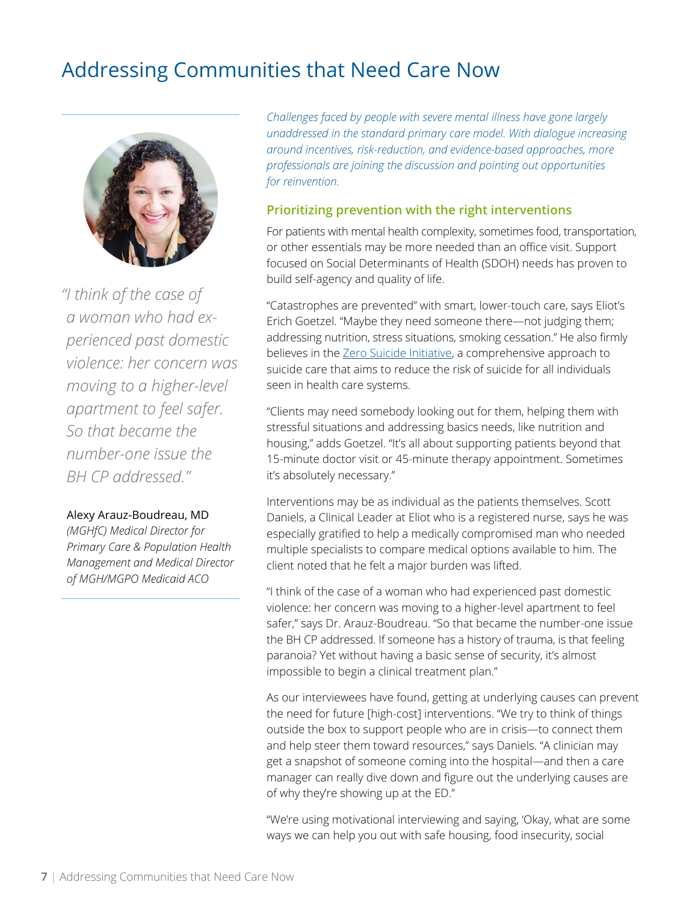# <span id="page-6-0"></span>Addressing Communities that Need Care Now



*"I think of the case of a woman who had experienced past domestic violence: her concern was moving to a higher-level apartment to feel safer. So that became the number-one issue the BH CP addressed."*

#### Alexy Arauz-Boudreau, MD

*(MGHfC) Medical Director for Primary Care & Population Health Management and Medical Director of MGH/MGPO Medicaid ACO*

*Challenges faced by people with severe mental illness have gone largely unaddressed in the standard primary care model. With dialogue increasing around incentives, risk-reduction, and evidence-based approaches, more professionals are joining the discussion and pointing out opportunities for reinvention.* 

### **Prioritizing prevention with the right interventions**

For patients with mental health complexity, sometimes food, transportation, or other essentials may be more needed than an office visit. Support focused on Social Determinants of Health (SDOH) needs has proven to build self-agency and quality of life.

"Catastrophes are prevented" with smart, lower-touch care, says Eliot's Erich Goetzel. "Maybe they need someone there—not judging them; addressing nutrition, stress situations, smoking cessation." He also firmly believes in th[e Zero Suicide Initiative,](http://zerosuicide.edc.org/) a comprehensive approach to suicide care that aims to reduce the risk of suicide for all individuals seen in health care systems.

"Clients may need somebody looking out for them, helping them with stressful situations and addressing basics needs, like nutrition and housing," adds Goetzel. "It's all about supporting patients beyond that 15-minute doctor visit or 45-minute therapy appointment. Sometimes it's absolutely necessary."

Interventions may be as individual as the patients themselves. Scott Daniels, a Clinical Leader at Eliot who is a registered nurse, says he was especially gratified to help a medically compromised man who needed multiple specialists to compare medical options available to him. The client noted that he felt a major burden was lifted.

"I think of the case of a woman who had experienced past domestic violence: her concern was moving to a higher-level apartment to feel safer," says Dr. Arauz-Boudreau. "So that became the number-one issue the BH CP addressed. If someone has a history of trauma, is that feeling paranoia? Yet without having a basic sense of security, it's almost impossible to begin a clinical treatment plan."

As our interviewees have found, getting at underlying causes can prevent the need for future [high-cost] interventions. "We try to think of things outside the box to support people who are in crisis—to connect them and help steer them toward resources," says Daniels. "A clinician may get a snapshot of someone coming into the hospital—and then a care manager can really dive down and figure out the underlying causes are of why they're showing up at the ED."

"We're using motivational interviewing and saying, 'Okay, what are some ways we can help you out with safe housing, food insecurity, social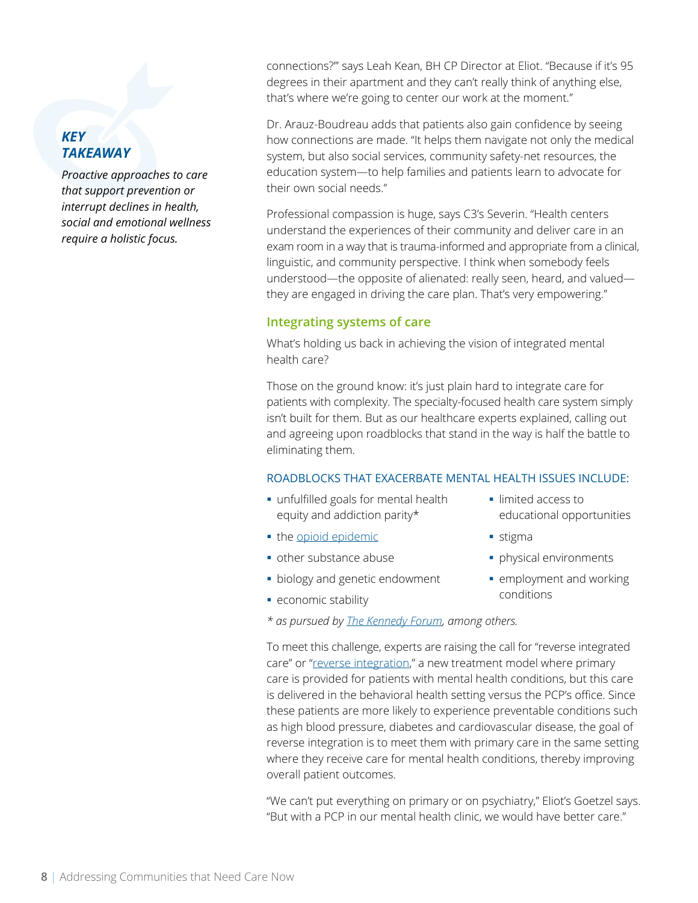# <span id="page-7-0"></span>*KEY TAKEAWAY*

*Proactive approaches to care that support prevention or interrupt declines in health, social and emotional wellness require a holistic focus.*

connections?'" says Leah Kean, BH CP Director at Eliot. "Because if it's 95 degrees in their apartment and they can't really think of anything else, that's where we're going to center our work at the moment."

Dr. Arauz-Boudreau adds that patients also gain confidence by seeing how connections are made. "It helps them navigate not only the medical system, but also social services, community safety-net resources, the education system—to help families and patients learn to advocate for their own social needs."

Professional compassion is huge, says C3's Severin. "Health centers understand the experiences of their community and deliver care in an exam room in a way that is trauma-informed and appropriate from a clinical, linguistic, and community perspective. I think when somebody feels understood—the opposite of alienated: really seen, heard, and valued they are engaged in driving the care plan. That's very empowering."

#### **Integrating systems of care**

What's holding us back in achieving the vision of integrated mental health care?

Those on the ground know: it's just plain hard to integrate care for patients with complexity. The specialty-focused health care system simply isn't built for them. But as our healthcare experts explained, calling out and agreeing upon roadblocks that stand in the way is half the battle to eliminating them.

#### ROADBLOCKS THAT EXACERBATE MENTAL HEALTH ISSUES INCLUDE:

- unfulfilled goals for mental health equity and addiction parity\*
- the [opioid epidemic](https://www.hhs.gov/opioids/about-the-epidemic/index.html)
- § other substance abuse
- biology and genetic endowment
- **economic stability**
- *\* as pursued b[y The Kennedy Forum,](https://www.thekennedyforum.org/) among others.*

To meet this challenge, experts are raising the call for "reverse integrated care" or ["reverse integration,"](https://www.apa.org/monitor/2016/09/integrated-care) a new treatment model where primary care is provided for patients with mental health conditions, but this care is delivered in the behavioral health setting versus the PCP's office. Since these patients are more likely to experience preventable conditions such as high blood pressure, diabetes and cardiovascular disease, the goal of reverse integration is to meet them with primary care in the same setting where they receive care for mental health conditions, thereby improving overall patient outcomes.

"We can't put everything on primary or on psychiatry," Eliot's Goetzel says. "But with a PCP in our mental health clinic, we would have better care."

- limited access to educational opportunities
- stigma
- § physical environments
- § employment and working conditions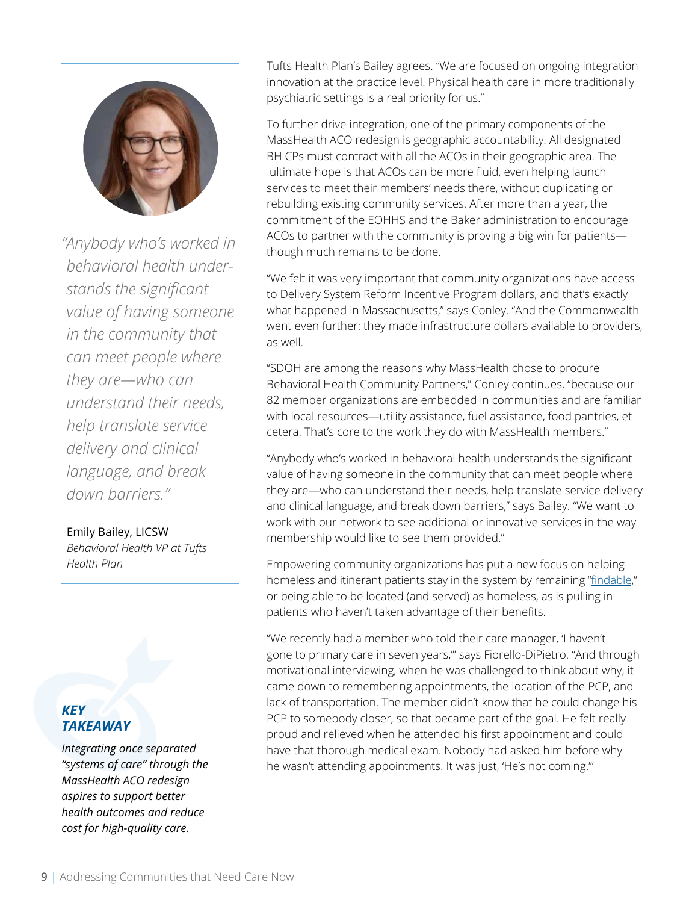

*"Anybody who's worked in behavioral health understands the significant value of having someone in the community that can meet people where they are—who can understand their needs, help translate service delivery and clinical language, and break down barriers."*

#### Emily Bailey, LICSW

*Behavioral Health VP at Tufts Health Plan*

# *KEY TAKEAWAY*

*Integrating once separated "systems of care" through the MassHealth ACO redesign aspires to support better health outcomes and reduce cost for high-quality care.*

Tufts Health Plan's Bailey agrees. "We are focused on ongoing integration innovation at the practice level. Physical health care in more traditionally psychiatric settings is a real priority for us."

To further drive integration, one of the primary components of the MassHealth ACO redesign is geographic accountability. All designated BH CPs must contract with all the ACOs in their geographic area. The ultimate hope is that ACOs can be more fluid, even helping launch services to meet their members' needs there, without duplicating or rebuilding existing community services. After more than a year, the commitment of the EOHHS and the Baker administration to encourage ACOs to partner with the community is proving a big win for patients though much remains to be done.

"We felt it was very important that community organizations have access to Delivery System Reform Incentive Program dollars, and that's exactly what happened in Massachusetts," says Conley. "And the Commonwealth went even further: they made infrastructure dollars available to providers, as well.

"SDOH are among the reasons why MassHealth chose to procure Behavioral Health Community Partners," Conley continues, "because our 82 member organizations are embedded in communities and are familiar with local resources—utility assistance, fuel assistance, food pantries, et cetera. That's core to the work they do with MassHealth members."

"Anybody who's worked in behavioral health understands the significant value of having someone in the community that can meet people where they are—who can understand their needs, help translate service delivery and clinical language, and break down barriers," says Bailey. "We want to work with our network to see additional or innovative services in the way membership would like to see them provided."

Empowering community organizations has put a new focus on helping homeless and itinerant patients stay in the system by remaining "[findable](https://expmag.com/2019/05/a-night-on-a-hunt-for-the-homeless/)," or being able to be located (and served) as homeless, as is pulling in patients who haven't taken advantage of their benefits.

"We recently had a member who told their care manager, 'I haven't gone to primary care in seven years,'" says Fiorello-DiPietro. "And through motivational interviewing, when he was challenged to think about why, it came down to remembering appointments, the location of the PCP, and lack of transportation. The member didn't know that he could change his PCP to somebody closer, so that became part of the goal. He felt really proud and relieved when he attended his first appointment and could have that thorough medical exam. Nobody had asked him before why he wasn't attending appointments. It was just, 'He's not coming.'"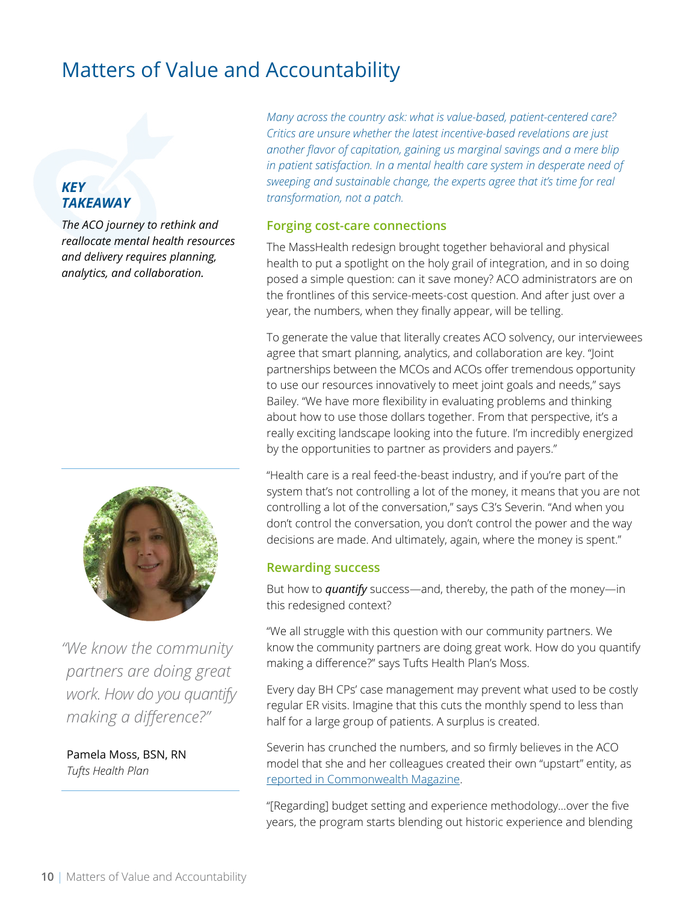# <span id="page-9-0"></span>Matters of Value and Accountability

# *KEY TAKEAWAY*

*The ACO journey to rethink and reallocate mental health resources and delivery requires planning, analytics, and collaboration.*



*"We know the community partners are doing great work. How do you quantify making a difference?"* 

Pamela Moss, BSN, RN *Tufts Health Plan*

*Many across the country ask: what is value-based, patient-centered care? Critics are unsure whether the latest incentive-based revelations are just another flavor of capitation, gaining us marginal savings and a mere blip*  in patient satisfaction. In a mental health care system in desperate need of *sweeping and sustainable change, the experts agree that it's time for real transformation, not a patch.* 

#### **Forging cost-care connections**

The MassHealth redesign brought together behavioral and physical health to put a spotlight on the holy grail of integration, and in so doing posed a simple question: can it save money? ACO administrators are on the frontlines of this service-meets-cost question. And after just over a year, the numbers, when they finally appear, will be telling.

To generate the value that literally creates ACO solvency, our interviewees agree that smart planning, analytics, and collaboration are key. "Joint partnerships between the MCOs and ACOs offer tremendous opportunity to use our resources innovatively to meet joint goals and needs," says Bailey. "We have more flexibility in evaluating problems and thinking about how to use those dollars together. From that perspective, it's a really exciting landscape looking into the future. I'm incredibly energized by the opportunities to partner as providers and payers."

"Health care is a real feed-the-beast industry, and if you're part of the system that's not controlling a lot of the money, it means that you are not controlling a lot of the conversation," says C3's Severin. "And when you don't control the conversation, you don't control the power and the way decisions are made. And ultimately, again, where the money is spent."

#### **Rewarding success**

But how to *quantify* success—and, thereby, the path of the money—in this redesigned context?

"We all struggle with this question with our community partners. We know the community partners are doing great work. How do you quantify making a difference?" says Tufts Health Plan's Moss.

Every day BH CPs' case management may prevent what used to be costly regular ER visits. Imagine that this cuts the monthly spend to less than half for a large group of patients. A surplus is created.

Severin has crunched the numbers, and so firmly believes in the ACO model that she and her colleagues created their own "upstart" entity, as [reported in Commonwealth Magazine.](https://commonwealthmagazine.org/health-care/an-upstart-helps-to-reshape-masshealth/)

"[Regarding] budget setting and experience methodology…over the five years, the program starts blending out historic experience and blending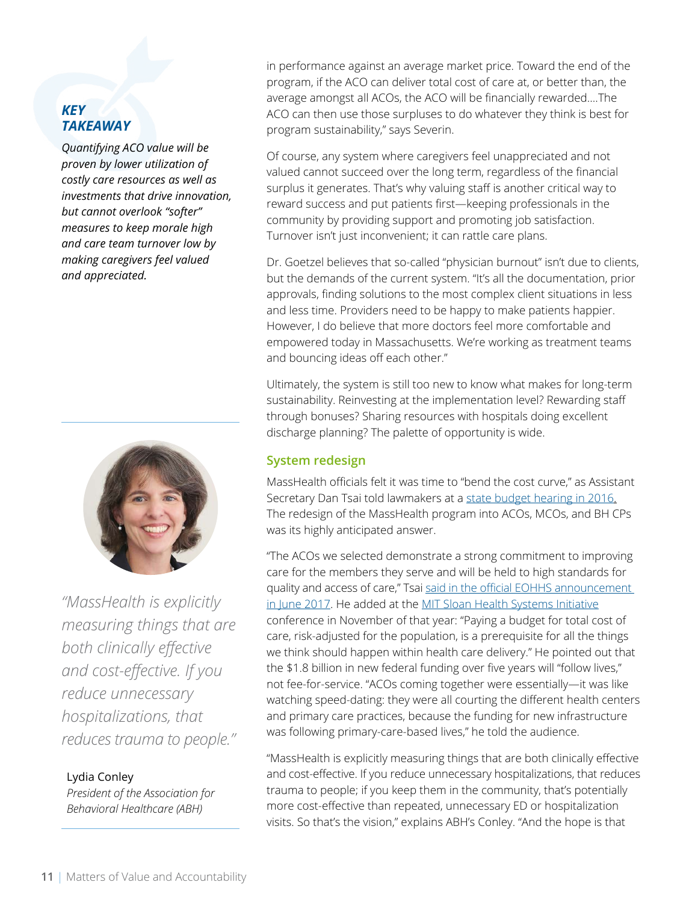# <span id="page-10-0"></span>*KEY TAKEAWAY*

*Quantifying ACO value will be proven by lower utilization of costly care resources as well as investments that drive innovation, but cannot overlook "softer" measures to keep morale high and care team turnover low by making caregivers feel valued and appreciated.*



*"MassHealth is explicitly measuring things that are both clinically effective and cost-effective. If you reduce unnecessary hospitalizations, that reduces trauma to people."*

# Lydia Conley

*President of the Association for Behavioral Healthcare (ABH)*

in performance against an average market price. Toward the end of the program, if the ACO can deliver total cost of care at, or better than, the average amongst all ACOs, the ACO will be financially rewarded.…The ACO can then use those surpluses to do whatever they think is best for program sustainability," says Severin.

Of course, any system where caregivers feel unappreciated and not valued cannot succeed over the long term, regardless of the financial surplus it generates. That's why valuing staff is another critical way to reward success and put patients first—keeping professionals in the community by providing support and promoting job satisfaction. Turnover isn't just inconvenient; it can rattle care plans.

Dr. Goetzel believes that so-called "physician burnout" isn't due to clients, but the demands of the current system. "It's all the documentation, prior approvals, finding solutions to the most complex client situations in less and less time. Providers need to be happy to make patients happier. However, I do believe that more doctors feel more comfortable and empowered today in Massachusetts. We're working as treatment teams and bouncing ideas off each other."

Ultimately, the system is still too new to know what makes for long-term sustainability. Reinvesting at the implementation level? Rewarding staff through bonuses? Sharing resources with hospitals doing excellent discharge planning? The palette of opportunity is wide.

# **System redesign**

MassHealth officials felt it was time to "bend the cost curve," as Assistant Secretary Dan Tsai told lawmakers at a [state budget hearing in 2016.](https://www.masslive.com/politics/2015/04/masshealth_chief_dan_tsai_find.html) The redesign of the MassHealth program into ACOs, MCOs, and BH CPs was its highly anticipated answer.

"The ACOs we selected demonstrate a strong commitment to improving care for the members they serve and will be held to high standards for quality and access of care," Tsai said in the official EOHHS announcement [in June 2017.](https://www.mass.gov/news/masshealth-partners-with-18-health-care-organizations-to-improve-health-care-outcomes-for) He added at the [MIT Sloan Health Systems Initiative](https://mitsloan.mit.edu/hsi/hsi-welcome) conference in November of that year: "Paying a budget for total cost of care, risk-adjusted for the population, is a prerequisite for all the things we think should happen within health care delivery." He pointed out that the \$1.8 billion in new federal funding over five years will "follow lives," not fee-for-service. "ACOs coming together were essentially—it was like watching speed-dating: they were all courting the different health centers and primary care practices, because the funding for new infrastructure was following primary-care-based lives," he told the audience.

"MassHealth is explicitly measuring things that are both clinically effective and cost-effective. If you reduce unnecessary hospitalizations, that reduces trauma to people; if you keep them in the community, that's potentially more cost-effective than repeated, unnecessary ED or hospitalization visits. So that's the vision," explains ABH's Conley. "And the hope is that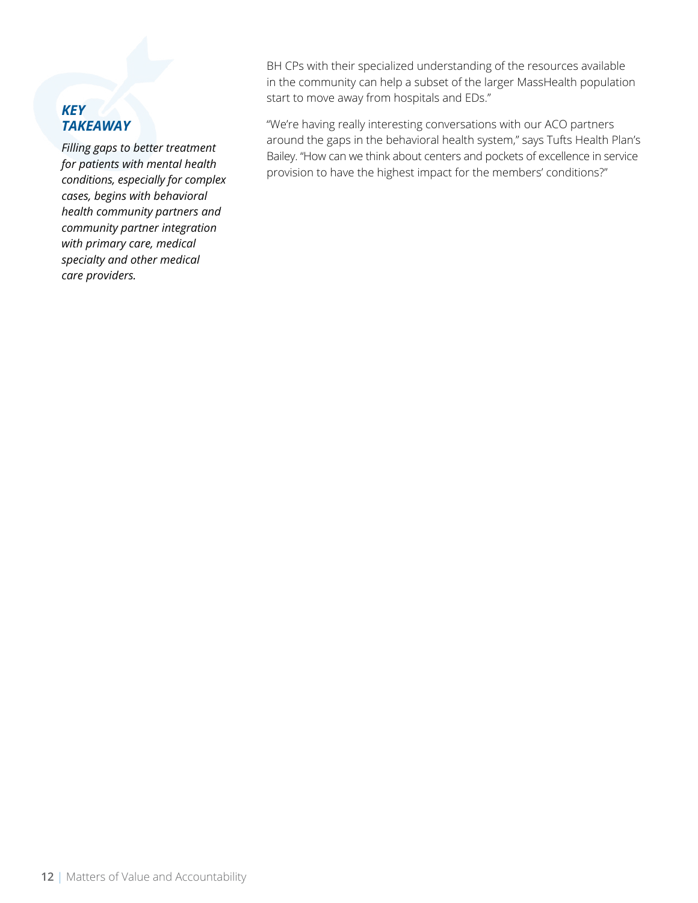# *KEY TAKEAWAY*

*Filling gaps to better treatment for patients with mental health conditions, especially for complex cases, begins with behavioral health community partners and community partner integration with primary care, medical specialty and other medical care providers.*

BH CPs with their specialized understanding of the resources available in the community can help a subset of the larger MassHealth population start to move away from hospitals and EDs."

"We're having really interesting conversations with our ACO partners around the gaps in the behavioral health system," says Tufts Health Plan's Bailey. "How can we think about centers and pockets of excellence in service provision to have the highest impact for the members' conditions?"